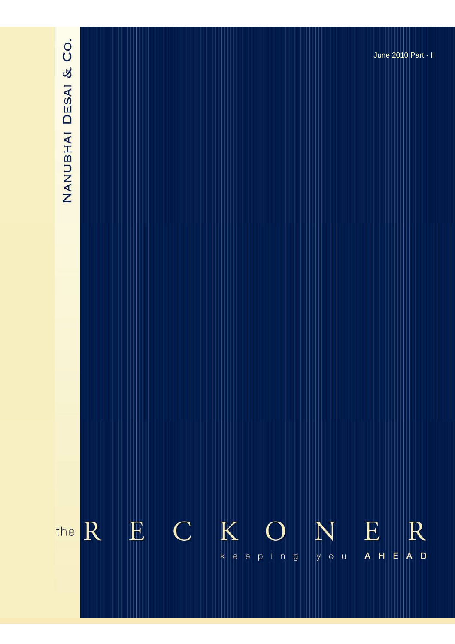# NANUBHAI DESAI & CO.

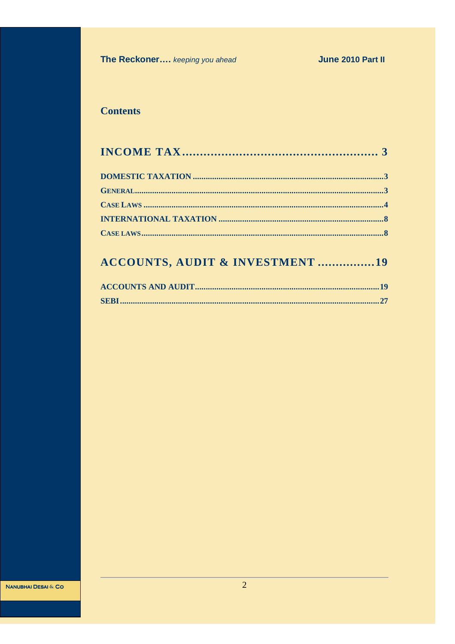# **Contents**

# **ACCOUNTS, AUDIT & INVESTMENT ................19**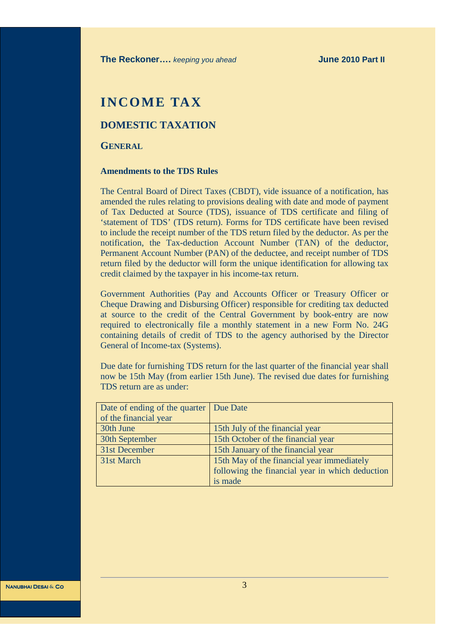# **INCOME TAX**

## **DOMESTIC TAXATION**

#### **GENERAL**

#### **Amendments to the TDS Rules**

The Central Board of Direct Taxes (CBDT), vide issuance of a notification, has amended the rules relating to provisions dealing with date and mode of payment of Tax Deducted at Source (TDS), issuance of TDS certificate and filing of 'statement of TDS' (TDS return). Forms for TDS certificate have been revised to include the receipt number of the TDS return filed by the deductor. As per the notification, the Tax-deduction Account Number (TAN) of the deductor, Permanent Account Number (PAN) of the deductee, and receipt number of TDS return filed by the deductor will form the unique identification for allowing tax credit claimed by the taxpayer in his income-tax return.

Government Authorities (Pay and Accounts Officer or Treasury Officer or Cheque Drawing and Disbursing Officer) responsible for crediting tax deducted at source to the credit of the Central Government by book-entry are now required to electronically file a monthly statement in a new Form No. 24G containing details of credit of TDS to the agency authorised by the Director General of Income-tax (Systems).

Due date for furnishing TDS return for the last quarter of the financial year shall now be 15th May (from earlier 15th June). The revised due dates for furnishing TDS return are as under:

| Date of ending of the quarter   Due Date |                                                 |
|------------------------------------------|-------------------------------------------------|
| of the financial year                    |                                                 |
| 30th June                                | 15th July of the financial year                 |
| 30th September                           | 15th October of the financial year              |
| 31st December                            | 15th January of the financial year              |
| 31st March                               | 15th May of the financial year immediately      |
|                                          | following the financial year in which deduction |
|                                          | is made                                         |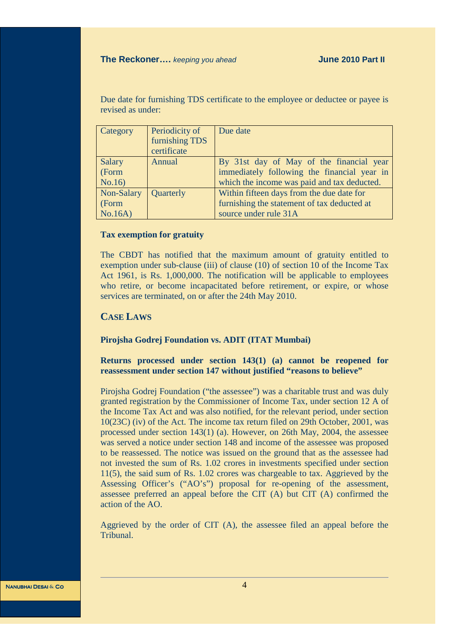Due date for furnishing TDS certificate to the employee or deductee or payee is revised as under:

| Category   | Periodicity of | Due date                                    |
|------------|----------------|---------------------------------------------|
|            | furnishing TDS |                                             |
|            | certificate    |                                             |
| Salary     | Annual         | By 31st day of May of the financial year    |
| (Form      |                | immediately following the financial year in |
| No.16      |                | which the income was paid and tax deducted. |
| Non-Salary | Quarterly      | Within fifteen days from the due date for   |
| (Form      |                | furnishing the statement of tax deducted at |
| No.16A)    |                | source under rule 31A                       |

#### **Tax exemption for gratuity**

The CBDT has notified that the maximum amount of gratuity entitled to exemption under sub-clause (iii) of clause (10) of section 10 of the Income Tax Act 1961, is Rs. 1,000,000. The notification will be applicable to employees who retire, or become incapacitated before retirement, or expire, or whose services are terminated, on or after the 24th May 2010.

## **CASE LAWS**

#### **Pirojsha Godrej Foundation vs. ADIT (ITAT Mumbai)**

#### **Returns processed under section 143(1) (a) cannot be reopened for reassessment under section 147 without justified "reasons to believe"**

Pirojsha Godrej Foundation ("the assessee") was a charitable trust and was duly granted registration by the Commissioner of Income Tax, under section 12 A of the Income Tax Act and was also notified, for the relevant period, under section 10(23C) (iv) of the Act. The income tax return filed on 29th October, 2001, was processed under section 143(1) (a). However, on 26th May, 2004, the assessee was served a notice under section 148 and income of the assessee was proposed to be reassessed. The notice was issued on the ground that as the assessee had not invested the sum of Rs. 1.02 crores in investments specified under section 11(5), the said sum of Rs. 1.02 crores was chargeable to tax. Aggrieved by the Assessing Officer's ("AO's") proposal for re-opening of the assessment, assessee preferred an appeal before the CIT (A) but CIT (A) confirmed the action of the AO.

Aggrieved by the order of CIT (A), the assessee filed an appeal before the Tribunal.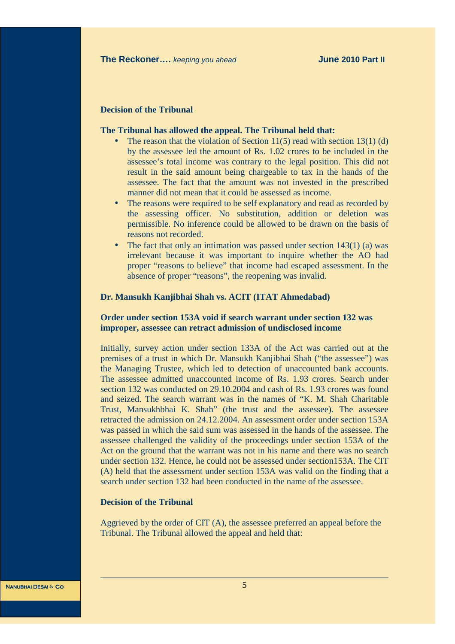#### **Decision of the Tribunal**

#### **The Tribunal has allowed the appeal. The Tribunal held that:**

- The reason that the violation of Section 11(5) read with section 13(1) (d) by the assessee led the amount of Rs. 1.02 crores to be included in the assessee's total income was contrary to the legal position. This did not result in the said amount being chargeable to tax in the hands of the assessee. The fact that the amount was not invested in the prescribed manner did not mean that it could be assessed as income.
- The reasons were required to be self explanatory and read as recorded by the assessing officer. No substitution, addition or deletion was permissible. No inference could be allowed to be drawn on the basis of reasons not recorded.
- The fact that only an intimation was passed under section  $143(1)$  (a) was irrelevant because it was important to inquire whether the AO had proper "reasons to believe" that income had escaped assessment. In the absence of proper "reasons", the reopening was invalid.

#### **Dr. Mansukh Kanjibhai Shah vs. ACIT (ITAT Ahmedabad)**

#### **Order under section 153A void if search warrant under section 132 was improper, assessee can retract admission of undisclosed income**

Initially, survey action under section 133A of the Act was carried out at the premises of a trust in which Dr. Mansukh Kanjibhai Shah ("the assessee") was the Managing Trustee, which led to detection of unaccounted bank accounts. The assessee admitted unaccounted income of Rs. 1.93 crores. Search under section 132 was conducted on 29.10.2004 and cash of Rs. 1.93 crores was found and seized. The search warrant was in the names of "K. M. Shah Charitable Trust, Mansukhbhai K. Shah" (the trust and the assessee). The assessee retracted the admission on 24.12.2004. An assessment order under section 153A was passed in which the said sum was assessed in the hands of the assessee. The assessee challenged the validity of the proceedings under section 153A of the Act on the ground that the warrant was not in his name and there was no search under section 132. Hence, he could not be assessed under section153A. The CIT (A) held that the assessment under section 153A was valid on the finding that a search under section 132 had been conducted in the name of the assessee.

#### **Decision of the Tribunal**

Aggrieved by the order of CIT (A), the assessee preferred an appeal before the Tribunal. The Tribunal allowed the appeal and held that: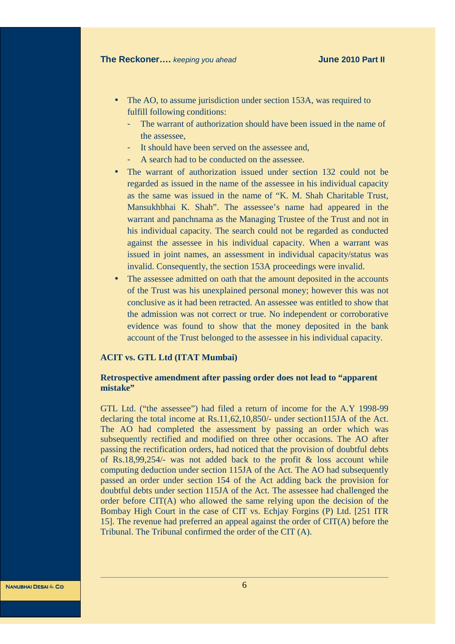- The AO, to assume jurisdiction under section 153A, was required to fulfill following conditions:
	- The warrant of authorization should have been issued in the name of the assessee,
	- It should have been served on the assessee and,
	- A search had to be conducted on the assessee.
- The warrant of authorization issued under section 132 could not be regarded as issued in the name of the assessee in his individual capacity as the same was issued in the name of "K. M. Shah Charitable Trust, Mansukhbhai K. Shah". The assessee's name had appeared in the warrant and panchnama as the Managing Trustee of the Trust and not in his individual capacity. The search could not be regarded as conducted against the assessee in his individual capacity. When a warrant was issued in joint names, an assessment in individual capacity/status was invalid. Consequently, the section 153A proceedings were invalid.
- The assessee admitted on oath that the amount deposited in the accounts of the Trust was his unexplained personal money; however this was not conclusive as it had been retracted. An assessee was entitled to show that the admission was not correct or true. No independent or corroborative evidence was found to show that the money deposited in the bank account of the Trust belonged to the assessee in his individual capacity.

#### **ACIT vs. GTL Ltd (ITAT Mumbai)**

#### **Retrospective amendment after passing order does not lead to "apparent mistake"**

GTL Ltd. ("the assessee") had filed a return of income for the A.Y 1998-99 declaring the total income at Rs.11,62,10,850/- under section115JA of the Act. The AO had completed the assessment by passing an order which was subsequently rectified and modified on three other occasions. The AO after passing the rectification orders, had noticed that the provision of doubtful debts of Rs.18,99,254/- was not added back to the profit & loss account while computing deduction under section 115JA of the Act. The AO had subsequently passed an order under section 154 of the Act adding back the provision for doubtful debts under section 115JA of the Act. The assessee had challenged the order before CIT(A) who allowed the same relying upon the decision of the Bombay High Court in the case of CIT vs. Echjay Forgins (P) Ltd. [251 ITR 15]. The revenue had preferred an appeal against the order of CIT(A) before the Tribunal. The Tribunal confirmed the order of the CIT (A).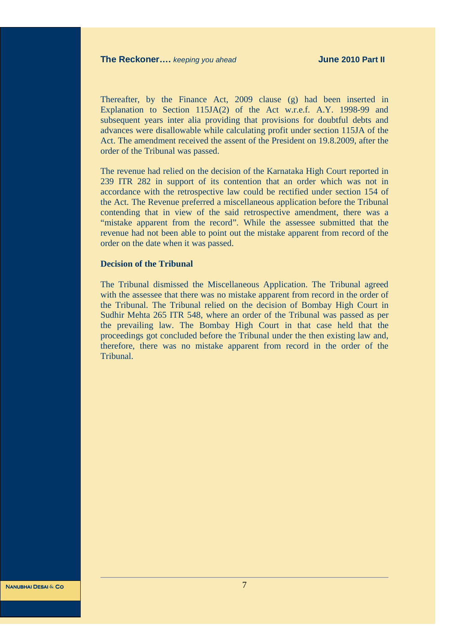Thereafter, by the Finance Act, 2009 clause (g) had been inserted in Explanation to Section 115JA(2) of the Act w.r.e.f. A.Y. 1998-99 and subsequent years inter alia providing that provisions for doubtful debts and advances were disallowable while calculating profit under section 115JA of the Act. The amendment received the assent of the President on 19.8.2009, after the order of the Tribunal was passed.

The revenue had relied on the decision of the Karnataka High Court reported in 239 ITR 282 in support of its contention that an order which was not in accordance with the retrospective law could be rectified under section 154 of the Act. The Revenue preferred a miscellaneous application before the Tribunal contending that in view of the said retrospective amendment, there was a "mistake apparent from the record". While the assessee submitted that the revenue had not been able to point out the mistake apparent from record of the order on the date when it was passed.

#### **Decision of the Tribunal**

The Tribunal dismissed the Miscellaneous Application. The Tribunal agreed with the assessee that there was no mistake apparent from record in the order of the Tribunal. The Tribunal relied on the decision of Bombay High Court in Sudhir Mehta 265 ITR 548, where an order of the Tribunal was passed as per the prevailing law. The Bombay High Court in that case held that the proceedings got concluded before the Tribunal under the then existing law and, therefore, there was no mistake apparent from record in the order of the Tribunal.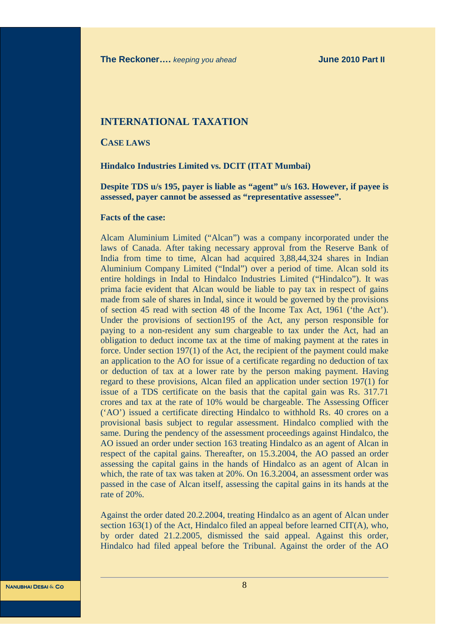#### **INTERNATIONAL TAXATION**

**CASE LAWS**

**Hindalco Industries Limited vs. DCIT (ITAT Mumbai)** 

**Despite TDS u/s 195, payer is liable as "agent" u/s 163. However, if payee is assessed, payer cannot be assessed as "representative assessee".** 

#### **Facts of the case:**

Alcam Aluminium Limited ("Alcan") was a company incorporated under the laws of Canada. After taking necessary approval from the Reserve Bank of India from time to time, Alcan had acquired 3,88,44,324 shares in Indian Aluminium Company Limited ("Indal") over a period of time. Alcan sold its entire holdings in Indal to Hindalco Industries Limited ("Hindalco"). It was prima facie evident that Alcan would be liable to pay tax in respect of gains made from sale of shares in Indal, since it would be governed by the provisions of section 45 read with section 48 of the Income Tax Act, 1961 ('the Act'). Under the provisions of section195 of the Act, any person responsible for paying to a non-resident any sum chargeable to tax under the Act, had an obligation to deduct income tax at the time of making payment at the rates in force. Under section 197(1) of the Act, the recipient of the payment could make an application to the AO for issue of a certificate regarding no deduction of tax or deduction of tax at a lower rate by the person making payment. Having regard to these provisions, Alcan filed an application under section 197(1) for issue of a TDS certificate on the basis that the capital gain was Rs. 317.71 crores and tax at the rate of 10% would be chargeable. The Assessing Officer ('AO') issued a certificate directing Hindalco to withhold Rs. 40 crores on a provisional basis subject to regular assessment. Hindalco complied with the same. During the pendency of the assessment proceedings against Hindalco, the AO issued an order under section 163 treating Hindalco as an agent of Alcan in respect of the capital gains. Thereafter, on 15.3.2004, the AO passed an order assessing the capital gains in the hands of Hindalco as an agent of Alcan in which, the rate of tax was taken at 20%. On 16.3.2004, an assessment order was passed in the case of Alcan itself, assessing the capital gains in its hands at the rate of 20%.

Against the order dated 20.2.2004, treating Hindalco as an agent of Alcan under section 163(1) of the Act, Hindalco filed an appeal before learned CIT(A), who, by order dated 21.2.2005, dismissed the said appeal. Against this order, Hindalco had filed appeal before the Tribunal. Against the order of the AO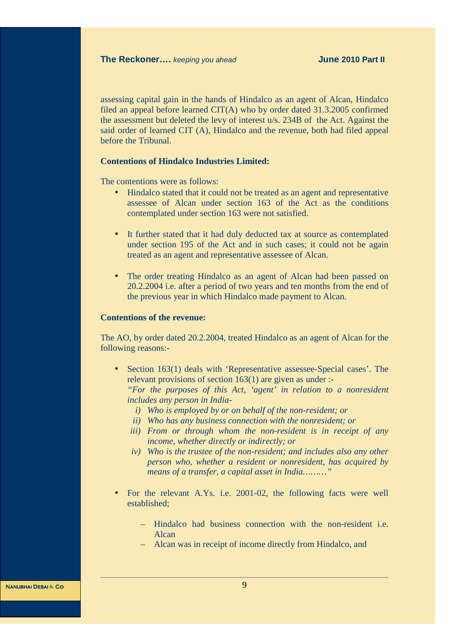assessing capital gain in the hands of Hindalco as an agent of Alcan, Hindalco filed an appeal before learned CIT(A) who by order dated 31.3.2005 confirmed the assessment but deleted the levy of interest u/s. 234B of the Act. Against the said order of learned CIT (A), Hindalco and the revenue, both had filed appeal before the Tribunal.

#### **Contentions of Hindalco Industries Limited:**

The contentions were as follows:

- Hindalco stated that it could not be treated as an agent and representative assessee of Alcan under section 163 of the Act as the conditions contemplated under section 163 were not satisfied.
- It further stated that it had duly deducted tax at source as contemplated under section 195 of the Act and in such cases; it could not be again treated as an agent and representative assessee of Alcan.
- The order treating Hindalco as an agent of Alcan had been passed on 20.2.2004 i.e. after a period of two years and ten months from the end of the previous year in which Hindalco made payment to Alcan.

#### **Contentions of the revenue:**

The AO, by order dated 20.2.2004, treated Hindalco as an agent of Alcan for the following reasons:-

- Section 163(1) deals with 'Representative assessee-Special cases'. The relevant provisions of section 163(1) are given as under :- *"For the purposes of this Act, 'agent' in relation to a nonresident includes any person in India*
	- *i) Who is employed by or on behalf of the non-resident; or*
	- *ii) Who has any business connection with the nonresident; or*
	- *iii) From or through whom the non-resident is in receipt of any income, whether directly or indirectly; or*
	- *iv) Who is the trustee of the non-resident; and includes also any other person who, whether a resident or nonresident, has acquired by means of a transfer, a capital asset in India………"*
- For the relevant A.Ys. i.e. 2001-02, the following facts were well established;
	- Hindalco had business connection with the non-resident i.e. Alcan
	- Alcan was in receipt of income directly from Hindalco, and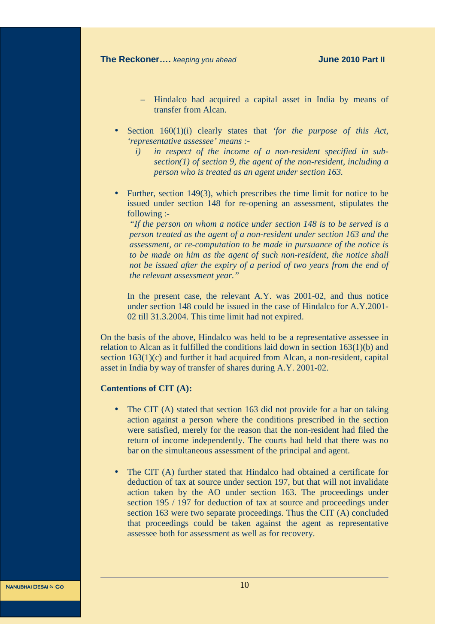- Hindalco had acquired a capital asset in India by means of transfer from Alcan.
- Section 160(1)(i) clearly states that *'for the purpose of this Act, 'representative assessee' means :* 
	- *i) in respect of the income of a non-resident specified in subsection(1) of section 9, the agent of the non-resident, including a person who is treated as an agent under section 163.*
- Further, section 149(3), which prescribes the time limit for notice to be issued under section 148 for re-opening an assessment, stipulates the following :-

*"If the person on whom a notice under section 148 is to be served is a person treated as the agent of a non-resident under section 163 and the assessment, or re-computation to be made in pursuance of the notice is to be made on him as the agent of such non-resident, the notice shall not be issued after the expiry of a period of two years from the end of the relevant assessment year."* 

In the present case, the relevant A.Y. was 2001-02, and thus notice under section 148 could be issued in the case of Hindalco for A.Y.2001- 02 till 31.3.2004. This time limit had not expired.

On the basis of the above, Hindalco was held to be a representative assessee in relation to Alcan as it fulfilled the conditions laid down in section 163(1)(b) and section 163(1)(c) and further it had acquired from Alcan, a non-resident, capital asset in India by way of transfer of shares during A.Y. 2001-02.

#### **Contentions of CIT (A):**

- The CIT (A) stated that section 163 did not provide for a bar on taking action against a person where the conditions prescribed in the section were satisfied, merely for the reason that the non-resident had filed the return of income independently. The courts had held that there was no bar on the simultaneous assessment of the principal and agent.
- The CIT (A) further stated that Hindalco had obtained a certificate for deduction of tax at source under section 197, but that will not invalidate action taken by the AO under section 163. The proceedings under section 195 / 197 for deduction of tax at source and proceedings under section 163 were two separate proceedings. Thus the CIT (A) concluded that proceedings could be taken against the agent as representative assessee both for assessment as well as for recovery.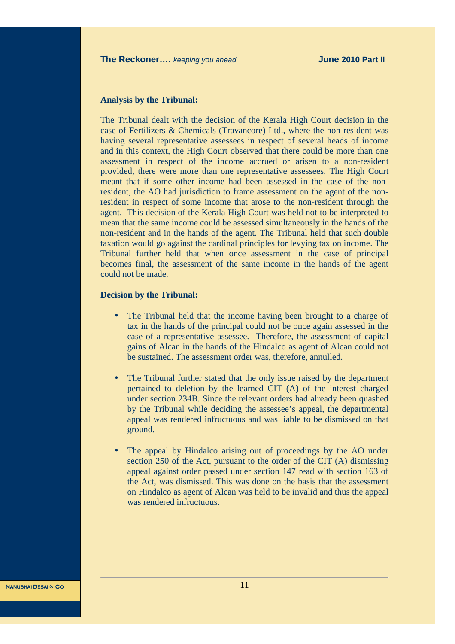#### **Analysis by the Tribunal:**

The Tribunal dealt with the decision of the Kerala High Court decision in the case of Fertilizers & Chemicals (Travancore) Ltd., where the non-resident was having several representative assessees in respect of several heads of income and in this context, the High Court observed that there could be more than one assessment in respect of the income accrued or arisen to a non-resident provided, there were more than one representative assessees. The High Court meant that if some other income had been assessed in the case of the nonresident, the AO had jurisdiction to frame assessment on the agent of the nonresident in respect of some income that arose to the non-resident through the agent. This decision of the Kerala High Court was held not to be interpreted to mean that the same income could be assessed simultaneously in the hands of the non-resident and in the hands of the agent. The Tribunal held that such double taxation would go against the cardinal principles for levying tax on income. The Tribunal further held that when once assessment in the case of principal becomes final, the assessment of the same income in the hands of the agent could not be made.

#### **Decision by the Tribunal:**

- The Tribunal held that the income having been brought to a charge of tax in the hands of the principal could not be once again assessed in the case of a representative assessee. Therefore, the assessment of capital gains of Alcan in the hands of the Hindalco as agent of Alcan could not be sustained. The assessment order was, therefore, annulled.
- The Tribunal further stated that the only issue raised by the department pertained to deletion by the learned CIT (A) of the interest charged under section 234B. Since the relevant orders had already been quashed by the Tribunal while deciding the assessee's appeal, the departmental appeal was rendered infructuous and was liable to be dismissed on that ground.
- The appeal by Hindalco arising out of proceedings by the AO under section 250 of the Act, pursuant to the order of the CIT (A) dismissing appeal against order passed under section 147 read with section 163 of the Act, was dismissed. This was done on the basis that the assessment on Hindalco as agent of Alcan was held to be invalid and thus the appeal was rendered infructuous.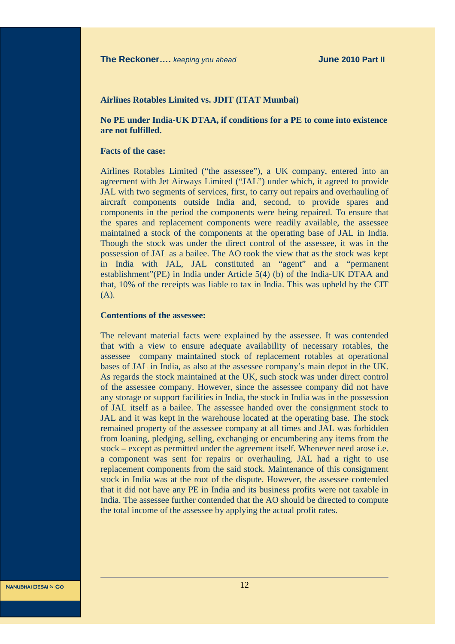#### **Airlines Rotables Limited vs. JDIT (ITAT Mumbai)**

**No PE under India-UK DTAA, if conditions for a PE to come into existence are not fulfilled.** 

#### **Facts of the case:**

Airlines Rotables Limited ("the assessee"), a UK company, entered into an agreement with Jet Airways Limited ("JAL") under which, it agreed to provide JAL with two segments of services, first, to carry out repairs and overhauling of aircraft components outside India and, second, to provide spares and components in the period the components were being repaired. To ensure that the spares and replacement components were readily available, the assessee maintained a stock of the components at the operating base of JAL in India. Though the stock was under the direct control of the assessee, it was in the possession of JAL as a bailee. The AO took the view that as the stock was kept in India with JAL, JAL constituted an "agent" and a "permanent establishment"(PE) in India under Article 5(4) (b) of the India-UK DTAA and that, 10% of the receipts was liable to tax in India. This was upheld by the CIT (A).

#### **Contentions of the assessee:**

The relevant material facts were explained by the assessee. It was contended that with a view to ensure adequate availability of necessary rotables, the assessee company maintained stock of replacement rotables at operational bases of JAL in India, as also at the assessee company's main depot in the UK. As regards the stock maintained at the UK, such stock was under direct control of the assessee company. However, since the assessee company did not have any storage or support facilities in India, the stock in India was in the possession of JAL itself as a bailee. The assessee handed over the consignment stock to JAL and it was kept in the warehouse located at the operating base. The stock remained property of the assessee company at all times and JAL was forbidden from loaning, pledging, selling, exchanging or encumbering any items from the stock – except as permitted under the agreement itself. Whenever need arose i.e. a component was sent for repairs or overhauling, JAL had a right to use replacement components from the said stock. Maintenance of this consignment stock in India was at the root of the dispute. However, the assessee contended that it did not have any PE in India and its business profits were not taxable in India. The assessee further contended that the AO should be directed to compute the total income of the assessee by applying the actual profit rates.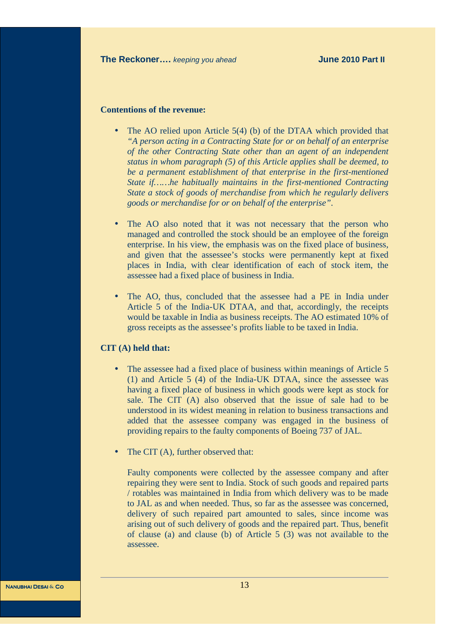#### **Contentions of the revenue:**

- The AO relied upon Article 5(4) (b) of the DTAA which provided that *"A person acting in a Contracting State for or on behalf of an enterprise of the other Contracting State other than an agent of an independent status in whom paragraph (5) of this Article applies shall be deemed, to be a permanent establishment of that enterprise in the first-mentioned State if……he habitually maintains in the first-mentioned Contracting State a stock of goods of merchandise from which he regularly delivers goods or merchandise for or on behalf of the enterprise"*.
- The AO also noted that it was not necessary that the person who managed and controlled the stock should be an employee of the foreign enterprise. In his view, the emphasis was on the fixed place of business, and given that the assessee's stocks were permanently kept at fixed places in India, with clear identification of each of stock item, the assessee had a fixed place of business in India.
- The AO, thus, concluded that the assessee had a PE in India under Article 5 of the India-UK DTAA, and that, accordingly, the receipts would be taxable in India as business receipts. The AO estimated 10% of gross receipts as the assessee's profits liable to be taxed in India.

#### **CIT (A) held that:**

- The assessee had a fixed place of business within meanings of Article 5 (1) and Article 5 (4) of the India-UK DTAA, since the assessee was having a fixed place of business in which goods were kept as stock for sale. The CIT (A) also observed that the issue of sale had to be understood in its widest meaning in relation to business transactions and added that the assessee company was engaged in the business of providing repairs to the faulty components of Boeing 737 of JAL.
- The CIT (A), further observed that:

Faulty components were collected by the assessee company and after repairing they were sent to India. Stock of such goods and repaired parts / rotables was maintained in India from which delivery was to be made to JAL as and when needed. Thus, so far as the assessee was concerned, delivery of such repaired part amounted to sales, since income was arising out of such delivery of goods and the repaired part. Thus, benefit of clause (a) and clause (b) of Article 5 (3) was not available to the assessee.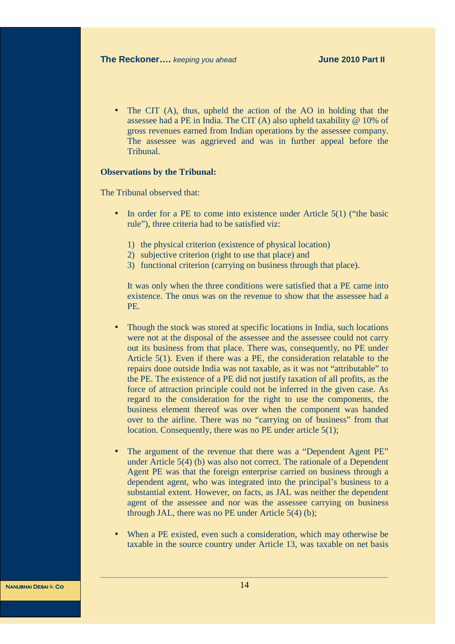The CIT (A), thus, upheld the action of the AO in holding that the assessee had a PE in India. The CIT (A) also upheld taxability @ 10% of gross revenues earned from Indian operations by the assessee company. The assessee was aggrieved and was in further appeal before the Tribunal.

#### **Observations by the Tribunal:**

The Tribunal observed that:

- In order for a PE to come into existence under Article 5(1) ("the basic rule"), three criteria had to be satisfied viz:
	- 1) the physical criterion (existence of physical location)
	- 2) subjective criterion (right to use that place) and
	- 3) functional criterion (carrying on business through that place).

It was only when the three conditions were satisfied that a PE came into existence. The onus was on the revenue to show that the assessee had a PE.

- Though the stock was stored at specific locations in India, such locations were not at the disposal of the assessee and the assessee could not carry out its business from that place. There was, consequently, no PE under Article 5(1). Even if there was a PE, the consideration relatable to the repairs done outside India was not taxable, as it was not "attributable" to the PE. The existence of a PE did not justify taxation of all profits, as the force of attraction principle could not be inferred in the given case. As regard to the consideration for the right to use the components, the business element thereof was over when the component was handed over to the airline. There was no "carrying on of business" from that location. Consequently, there was no PE under article 5(1);
- The argument of the revenue that there was a "Dependent Agent PE" under Article 5(4) (b) was also not correct. The rationale of a Dependent Agent PE was that the foreign enterprise carried on business through a dependent agent, who was integrated into the principal's business to a substantial extent. However, on facts, as JAL was neither the dependent agent of the assessee and nor was the assessee carrying on business through JAL, there was no PE under Article 5(4) (b);
- When a PE existed, even such a consideration, which may otherwise be taxable in the source country under Article 13, was taxable on net basis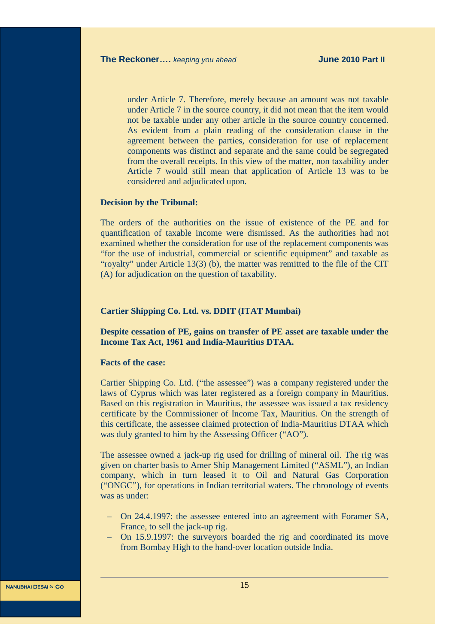under Article 7. Therefore, merely because an amount was not taxable under Article 7 in the source country, it did not mean that the item would not be taxable under any other article in the source country concerned. As evident from a plain reading of the consideration clause in the agreement between the parties, consideration for use of replacement components was distinct and separate and the same could be segregated from the overall receipts. In this view of the matter, non taxability under Article 7 would still mean that application of Article 13 was to be considered and adjudicated upon.

#### **Decision by the Tribunal:**

The orders of the authorities on the issue of existence of the PE and for quantification of taxable income were dismissed. As the authorities had not examined whether the consideration for use of the replacement components was "for the use of industrial, commercial or scientific equipment" and taxable as "royalty" under Article 13(3) (b), the matter was remitted to the file of the CIT (A) for adjudication on the question of taxability.

#### **Cartier Shipping Co. Ltd. vs. DDIT (ITAT Mumbai)**

**Despite cessation of PE, gains on transfer of PE asset are taxable under the Income Tax Act, 1961 and India-Mauritius DTAA.** 

#### **Facts of the case:**

Cartier Shipping Co. Ltd. ("the assessee") was a company registered under the laws of Cyprus which was later registered as a foreign company in Mauritius. Based on this registration in Mauritius, the assessee was issued a tax residency certificate by the Commissioner of Income Tax, Mauritius. On the strength of this certificate, the assessee claimed protection of India-Mauritius DTAA which was duly granted to him by the Assessing Officer ("AO").

The assessee owned a jack-up rig used for drilling of mineral oil. The rig was given on charter basis to Amer Ship Management Limited ("ASML"), an Indian company, which in turn leased it to Oil and Natural Gas Corporation ("ONGC"), for operations in Indian territorial waters. The chronology of events was as under:

- On 24.4.1997: the assessee entered into an agreement with Foramer SA, France, to sell the jack-up rig.
- On 15.9.1997: the surveyors boarded the rig and coordinated its move from Bombay High to the hand-over location outside India.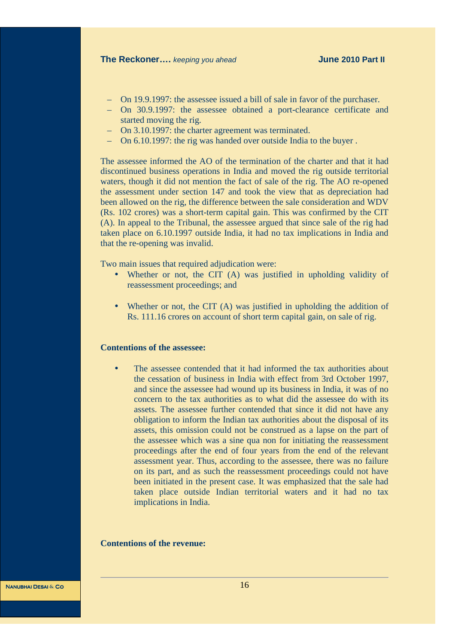- On 19.9.1997: the assessee issued a bill of sale in favor of the purchaser.
- On 30.9.1997: the assessee obtained a port-clearance certificate and started moving the rig.
- On 3.10.1997: the charter agreement was terminated.
- On 6.10.1997: the rig was handed over outside India to the buyer .

The assessee informed the AO of the termination of the charter and that it had discontinued business operations in India and moved the rig outside territorial waters, though it did not mention the fact of sale of the rig. The AO re-opened the assessment under section 147 and took the view that as depreciation had been allowed on the rig, the difference between the sale consideration and WDV (Rs. 102 crores) was a short-term capital gain. This was confirmed by the CIT (A). In appeal to the Tribunal, the assessee argued that since sale of the rig had taken place on 6.10.1997 outside India, it had no tax implications in India and that the re-opening was invalid.

Two main issues that required adjudication were:

- Whether or not, the CIT (A) was justified in upholding validity of reassessment proceedings; and
- Whether or not, the CIT (A) was justified in upholding the addition of Rs. 111.16 crores on account of short term capital gain, on sale of rig.

#### **Contentions of the assessee:**

The assessee contended that it had informed the tax authorities about the cessation of business in India with effect from 3rd October 1997, and since the assessee had wound up its business in India, it was of no concern to the tax authorities as to what did the assessee do with its assets. The assessee further contended that since it did not have any obligation to inform the Indian tax authorities about the disposal of its assets, this omission could not be construed as a lapse on the part of the assessee which was a sine qua non for initiating the reassessment proceedings after the end of four years from the end of the relevant assessment year. Thus, according to the assessee, there was no failure on its part, and as such the reassessment proceedings could not have been initiated in the present case. It was emphasized that the sale had taken place outside Indian territorial waters and it had no tax implications in India.

#### **Contentions of the revenue:**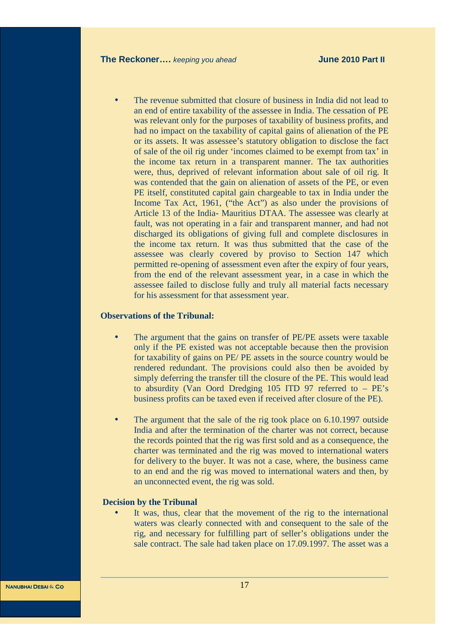The revenue submitted that closure of business in India did not lead to an end of entire taxability of the assessee in India. The cessation of PE was relevant only for the purposes of taxability of business profits, and had no impact on the taxability of capital gains of alienation of the PE or its assets. It was assessee's statutory obligation to disclose the fact of sale of the oil rig under 'incomes claimed to be exempt from tax' in the income tax return in a transparent manner. The tax authorities were, thus, deprived of relevant information about sale of oil rig. It was contended that the gain on alienation of assets of the PE, or even PE itself, constituted capital gain chargeable to tax in India under the Income Tax Act, 1961, ("the Act") as also under the provisions of Article 13 of the India- Mauritius DTAA. The assessee was clearly at fault, was not operating in a fair and transparent manner, and had not discharged its obligations of giving full and complete disclosures in the income tax return. It was thus submitted that the case of the assessee was clearly covered by proviso to Section 147 which permitted re-opening of assessment even after the expiry of four years, from the end of the relevant assessment year, in a case in which the assessee failed to disclose fully and truly all material facts necessary for his assessment for that assessment year.

#### **Observations of the Tribunal:**

- The argument that the gains on transfer of PE/PE assets were taxable only if the PE existed was not acceptable because then the provision for taxability of gains on PE/ PE assets in the source country would be rendered redundant. The provisions could also then be avoided by simply deferring the transfer till the closure of the PE. This would lead to absurdity (Van Oord Dredging 105 ITD 97 referred to – PE's business profits can be taxed even if received after closure of the PE).
- The argument that the sale of the rig took place on 6.10.1997 outside India and after the termination of the charter was not correct, because the records pointed that the rig was first sold and as a consequence, the charter was terminated and the rig was moved to international waters for delivery to the buyer. It was not a case, where, the business came to an end and the rig was moved to international waters and then, by an unconnected event, the rig was sold.

#### **Decision by the Tribunal**

It was, thus, clear that the movement of the rig to the international waters was clearly connected with and consequent to the sale of the rig, and necessary for fulfilling part of seller's obligations under the sale contract. The sale had taken place on 17.09.1997. The asset was a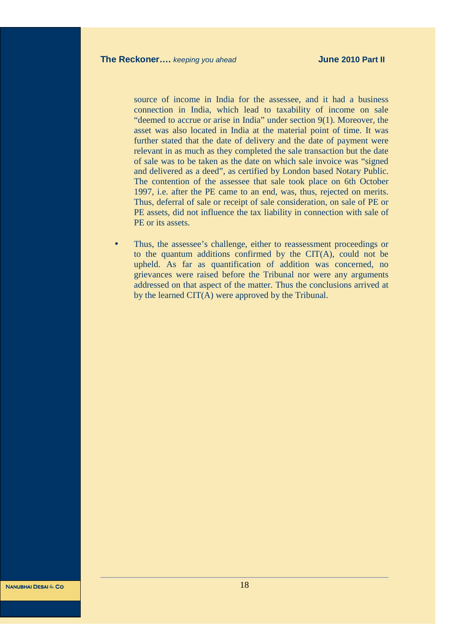source of income in India for the assessee, and it had a business connection in India, which lead to taxability of income on sale "deemed to accrue or arise in India" under section 9(1). Moreover, the asset was also located in India at the material point of time. It was further stated that the date of delivery and the date of payment were relevant in as much as they completed the sale transaction but the date of sale was to be taken as the date on which sale invoice was "signed and delivered as a deed", as certified by London based Notary Public. The contention of the assessee that sale took place on 6th October 1997, i.e. after the PE came to an end, was, thus, rejected on merits. Thus, deferral of sale or receipt of sale consideration, on sale of PE or PE assets, did not influence the tax liability in connection with sale of PE or its assets.

• Thus, the assessee's challenge, either to reassessment proceedings or to the quantum additions confirmed by the CIT(A), could not be upheld. As far as quantification of addition was concerned, no grievances were raised before the Tribunal nor were any arguments addressed on that aspect of the matter. Thus the conclusions arrived at by the learned CIT(A) were approved by the Tribunal.

Nanubhai Desai **&** Co Nanubhai Desai **&** Co

18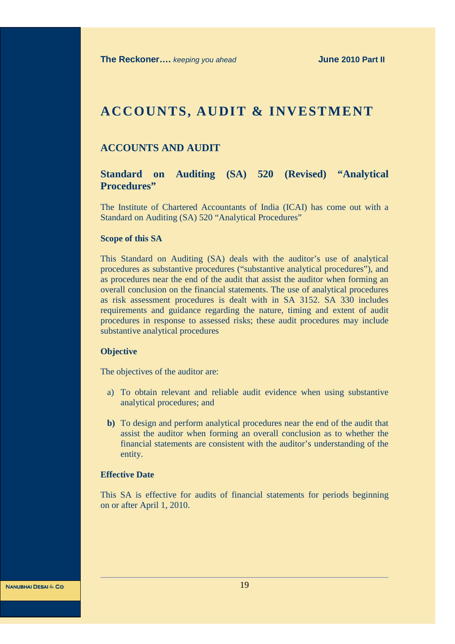# **ACCOUNTS, AUDIT & INVESTMENT**

# **ACCOUNTS AND AUDIT**

## **Standard on Auditing (SA) 520 (Revised) "Analytical Procedures"**

The Institute of Chartered Accountants of India (ICAI) has come out with a Standard on Auditing (SA) 520 "Analytical Procedures"

#### **Scope of this SA**

This Standard on Auditing (SA) deals with the auditor's use of analytical procedures as substantive procedures ("substantive analytical procedures"), and as procedures near the end of the audit that assist the auditor when forming an overall conclusion on the financial statements. The use of analytical procedures as risk assessment procedures is dealt with in SA 3152. SA 330 includes requirements and guidance regarding the nature, timing and extent of audit procedures in response to assessed risks; these audit procedures may include substantive analytical procedures

#### **Objective**

The objectives of the auditor are:

- a) To obtain relevant and reliable audit evidence when using substantive analytical procedures; and
- **b)** To design and perform analytical procedures near the end of the audit that assist the auditor when forming an overall conclusion as to whether the financial statements are consistent with the auditor's understanding of the entity.

#### **Effective Date**

This SA is effective for audits of financial statements for periods beginning on or after April 1, 2010.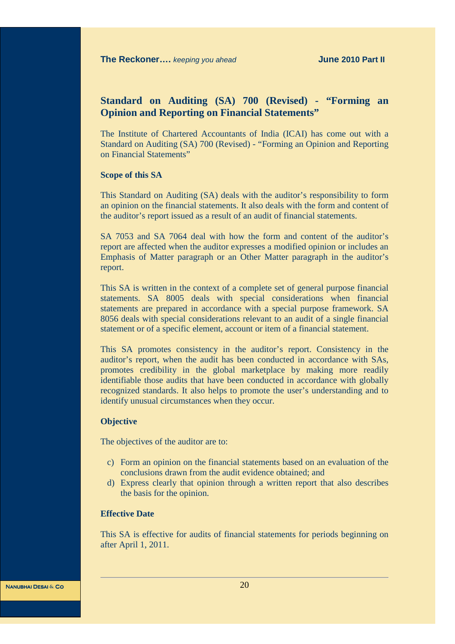# **Standard on Auditing (SA) 700 (Revised) - "Forming an Opinion and Reporting on Financial Statements"**

The Institute of Chartered Accountants of India (ICAI) has come out with a Standard on Auditing (SA) 700 (Revised) - "Forming an Opinion and Reporting on Financial Statements"

#### **Scope of this SA**

This Standard on Auditing (SA) deals with the auditor's responsibility to form an opinion on the financial statements. It also deals with the form and content of the auditor's report issued as a result of an audit of financial statements.

SA 7053 and SA 7064 deal with how the form and content of the auditor's report are affected when the auditor expresses a modified opinion or includes an Emphasis of Matter paragraph or an Other Matter paragraph in the auditor's report.

This SA is written in the context of a complete set of general purpose financial statements. SA 8005 deals with special considerations when financial statements are prepared in accordance with a special purpose framework. SA 8056 deals with special considerations relevant to an audit of a single financial statement or of a specific element, account or item of a financial statement.

This SA promotes consistency in the auditor's report. Consistency in the auditor's report, when the audit has been conducted in accordance with SAs, promotes credibility in the global marketplace by making more readily identifiable those audits that have been conducted in accordance with globally recognized standards. It also helps to promote the user's understanding and to identify unusual circumstances when they occur.

#### **Objective**

The objectives of the auditor are to:

- c) Form an opinion on the financial statements based on an evaluation of the conclusions drawn from the audit evidence obtained; and
- d) Express clearly that opinion through a written report that also describes the basis for the opinion.

#### **Effective Date**

This SA is effective for audits of financial statements for periods beginning on after April 1, 2011.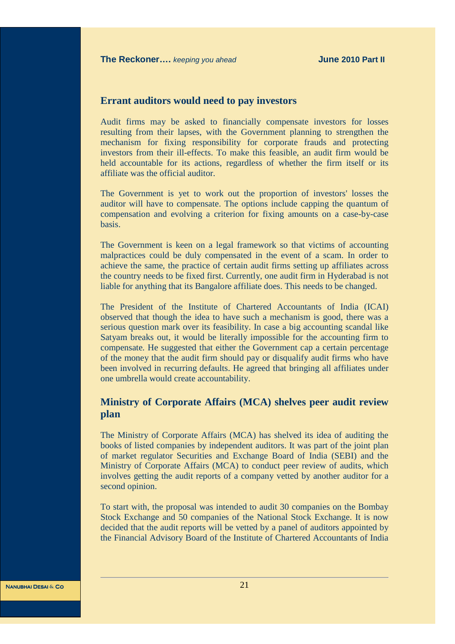#### **Errant auditors would need to pay investors**

Audit firms may be asked to financially compensate investors for losses resulting from their lapses, with the Government planning to strengthen the mechanism for fixing responsibility for corporate frauds and protecting investors from their ill-effects. To make this feasible, an audit firm would be held accountable for its actions, regardless of whether the firm itself or its affiliate was the official auditor.

The Government is yet to work out the proportion of investors' losses the auditor will have to compensate. The options include capping the quantum of compensation and evolving a criterion for fixing amounts on a case-by-case basis.

The Government is keen on a legal framework so that victims of accounting malpractices could be duly compensated in the event of a scam. In order to achieve the same, the practice of certain audit firms setting up affiliates across the country needs to be fixed first. Currently, one audit firm in Hyderabad is not liable for anything that its Bangalore affiliate does. This needs to be changed.

The President of the Institute of Chartered Accountants of India (ICAI) observed that though the idea to have such a mechanism is good, there was a serious question mark over its feasibility. In case a big accounting scandal like Satyam breaks out, it would be literally impossible for the accounting firm to compensate. He suggested that either the Government cap a certain percentage of the money that the audit firm should pay or disqualify audit firms who have been involved in recurring defaults. He agreed that bringing all affiliates under one umbrella would create accountability.

# **Ministry of Corporate Affairs (MCA) shelves peer audit review plan**

The Ministry of Corporate Affairs (MCA) has shelved its idea of auditing the books of listed companies by independent auditors. It was part of the joint plan of market regulator Securities and Exchange Board of India (SEBI) and the Ministry of Corporate Affairs (MCA) to conduct peer review of audits, which involves getting the audit reports of a company vetted by another auditor for a second opinion.

To start with, the proposal was intended to audit 30 companies on the Bombay Stock Exchange and 50 companies of the National Stock Exchange. It is now decided that the audit reports will be vetted by a panel of auditors appointed by the Financial Advisory Board of the Institute of Chartered Accountants of India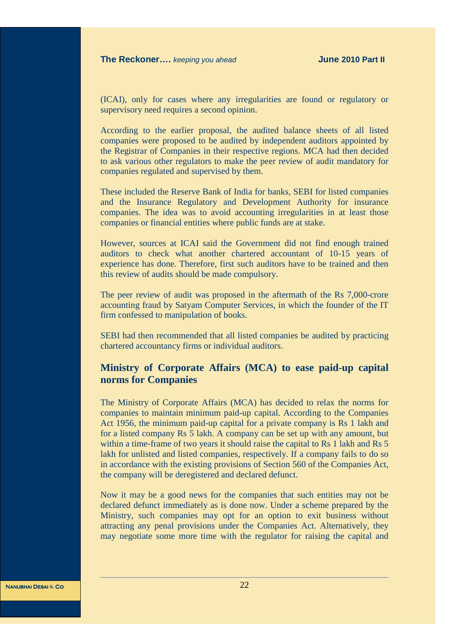(ICAI), only for cases where any irregularities are found or regulatory or supervisory need requires a second opinion.

According to the earlier proposal, the audited balance sheets of all listed companies were proposed to be audited by independent auditors appointed by the Registrar of Companies in their respective regions. MCA had then decided to ask various other regulators to make the peer review of audit mandatory for companies regulated and supervised by them.

These included the Reserve Bank of India for banks, SEBI for listed companies and the Insurance Regulatory and Development Authority for insurance companies. The idea was to avoid accounting irregularities in at least those companies or financial entities where public funds are at stake.

However, sources at ICAI said the Government did not find enough trained auditors to check what another chartered accountant of 10-15 years of experience has done. Therefore, first such auditors have to be trained and then this review of audits should be made compulsory.

The peer review of audit was proposed in the aftermath of the Rs 7,000-crore accounting fraud by Satyam Computer Services, in which the founder of the IT firm confessed to manipulation of books.

SEBI had then recommended that all listed companies be audited by practicing chartered accountancy firms or individual auditors.

## **Ministry of Corporate Affairs (MCA) to ease paid-up capital norms for Companies**

The Ministry of Corporate Affairs (MCA) has decided to relax the norms for companies to maintain minimum paid-up capital. According to the Companies Act 1956, the minimum paid-up capital for a private company is Rs 1 lakh and for a listed company Rs 5 lakh. A company can be set up with any amount, but within a time-frame of two years it should raise the capital to Rs 1 lakh and Rs 5 lakh for unlisted and listed companies, respectively. If a company fails to do so in accordance with the existing provisions of Section 560 of the Companies Act, the company will be deregistered and declared defunct.

Now it may be a good news for the companies that such entities may not be declared defunct immediately as is done now. Under a scheme prepared by the Ministry, such companies may opt for an option to exit business without attracting any penal provisions under the Companies Act. Alternatively, they may negotiate some more time with the regulator for raising the capital and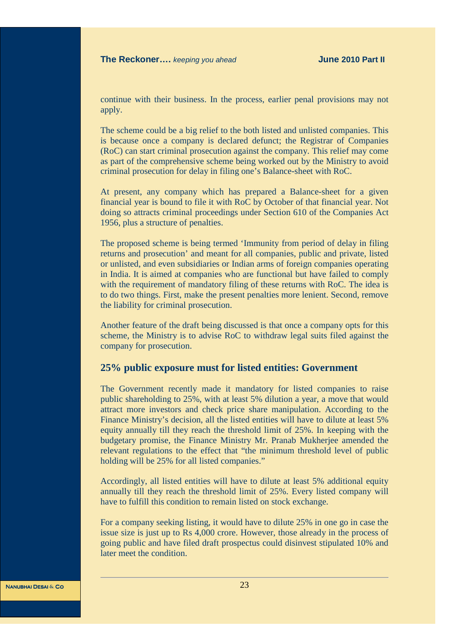continue with their business. In the process, earlier penal provisions may not apply.

The scheme could be a big relief to the both listed and unlisted companies. This is because once a company is declared defunct; the Registrar of Companies (RoC) can start criminal prosecution against the company. This relief may come as part of the comprehensive scheme being worked out by the Ministry to avoid criminal prosecution for delay in filing one's Balance-sheet with RoC.

At present, any company which has prepared a Balance-sheet for a given financial year is bound to file it with RoC by October of that financial year. Not doing so attracts criminal proceedings under Section 610 of the Companies Act 1956, plus a structure of penalties.

The proposed scheme is being termed 'Immunity from period of delay in filing returns and prosecution' and meant for all companies, public and private, listed or unlisted, and even subsidiaries or Indian arms of foreign companies operating in India. It is aimed at companies who are functional but have failed to comply with the requirement of mandatory filing of these returns with RoC. The idea is to do two things. First, make the present penalties more lenient. Second, remove the liability for criminal prosecution.

Another feature of the draft being discussed is that once a company opts for this scheme, the Ministry is to advise RoC to withdraw legal suits filed against the company for prosecution.

#### **25% public exposure must for listed entities: Government**

The Government recently made it mandatory for listed companies to raise public shareholding to 25%, with at least 5% dilution a year, a move that would attract more investors and check price share manipulation. According to the Finance Ministry's decision, all the listed entities will have to dilute at least 5% equity annually till they reach the threshold limit of 25%. In keeping with the budgetary promise, the Finance Ministry Mr. Pranab Mukherjee amended the relevant regulations to the effect that "the minimum threshold level of public holding will be 25% for all listed companies."

Accordingly, all listed entities will have to dilute at least 5% additional equity annually till they reach the threshold limit of 25%. Every listed company will have to fulfill this condition to remain listed on stock exchange.

For a company seeking listing, it would have to dilute 25% in one go in case the issue size is just up to Rs 4,000 crore. However, those already in the process of going public and have filed draft prospectus could disinvest stipulated 10% and later meet the condition.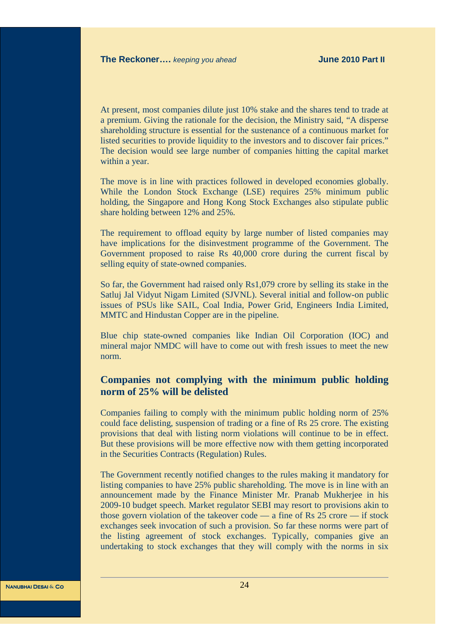At present, most companies dilute just 10% stake and the shares tend to trade at a premium. Giving the rationale for the decision, the Ministry said, "A disperse shareholding structure is essential for the sustenance of a continuous market for listed securities to provide liquidity to the investors and to discover fair prices." The decision would see large number of companies hitting the capital market within a year.

The move is in line with practices followed in developed economies globally. While the London Stock Exchange (LSE) requires 25% minimum public holding, the Singapore and Hong Kong Stock Exchanges also stipulate public share holding between 12% and 25%.

The requirement to offload equity by large number of listed companies may have implications for the disinvestment programme of the Government. The Government proposed to raise Rs 40,000 crore during the current fiscal by selling equity of state-owned companies.

So far, the Government had raised only Rs1,079 crore by selling its stake in the Satluj Jal Vidyut Nigam Limited (SJVNL). Several initial and follow-on public issues of PSUs like SAIL, Coal India, Power Grid, Engineers India Limited, MMTC and Hindustan Copper are in the pipeline.

Blue chip state-owned companies like Indian Oil Corporation (IOC) and mineral major NMDC will have to come out with fresh issues to meet the new norm.

# **Companies not complying with the minimum public holding norm of 25% will be delisted**

Companies failing to comply with the minimum public holding norm of 25% could face delisting, suspension of trading or a fine of Rs 25 crore. The existing provisions that deal with listing norm violations will continue to be in effect. But these provisions will be more effective now with them getting incorporated in the Securities Contracts (Regulation) Rules.

The Government recently notified changes to the rules making it mandatory for listing companies to have 25% public shareholding. The move is in line with an announcement made by the Finance Minister Mr. Pranab Mukherjee in his 2009-10 budget speech. Market regulator SEBI may resort to provisions akin to those govern violation of the takeover code — a fine of Rs 25 crore — if stock exchanges seek invocation of such a provision. So far these norms were part of the listing agreement of stock exchanges. Typically, companies give an undertaking to stock exchanges that they will comply with the norms in six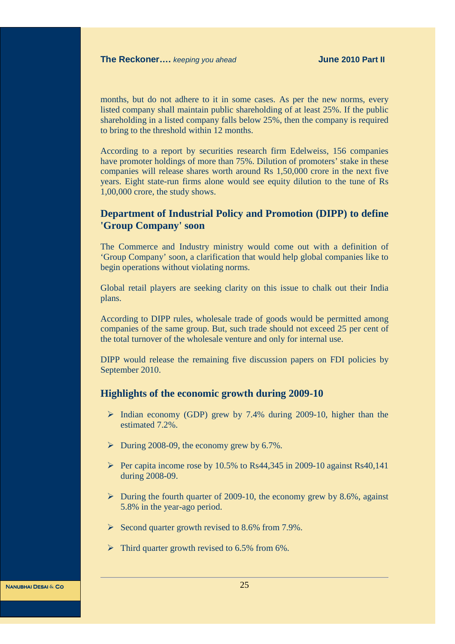months, but do not adhere to it in some cases. As per the new norms, every listed company shall maintain public shareholding of at least 25%. If the public shareholding in a listed company falls below 25%, then the company is required to bring to the threshold within 12 months.

According to a report by securities research firm Edelweiss, 156 companies have promoter holdings of more than 75%. Dilution of promoters' stake in these companies will release shares worth around Rs 1,50,000 crore in the next five years. Eight state-run firms alone would see equity dilution to the tune of Rs 1,00,000 crore, the study shows.

# **Department of Industrial Policy and Promotion (DIPP) to define 'Group Company' soon**

The Commerce and Industry ministry would come out with a definition of 'Group Company' soon, a clarification that would help global companies like to begin operations without violating norms.

Global retail players are seeking clarity on this issue to chalk out their India plans.

According to DIPP rules, wholesale trade of goods would be permitted among companies of the same group. But, such trade should not exceed 25 per cent of the total turnover of the wholesale venture and only for internal use.

DIPP would release the remaining five discussion papers on FDI policies by September 2010.

#### **Highlights of the economic growth during 2009-10**

- $\triangleright$  Indian economy (GDP) grew by 7.4% during 2009-10, higher than the estimated 7.2%.
- $\triangleright$  During 2008-09, the economy grew by 6.7%.
- Per capita income rose by 10.5% to Rs44,345 in 2009-10 against Rs40,141 during 2008-09.
- $\triangleright$  During the fourth quarter of 2009-10, the economy grew by 8.6%, against 5.8% in the year-ago period.
- $\triangleright$  Second quarter growth revised to 8.6% from 7.9%.
- $\triangleright$  Third quarter growth revised to 6.5% from 6%.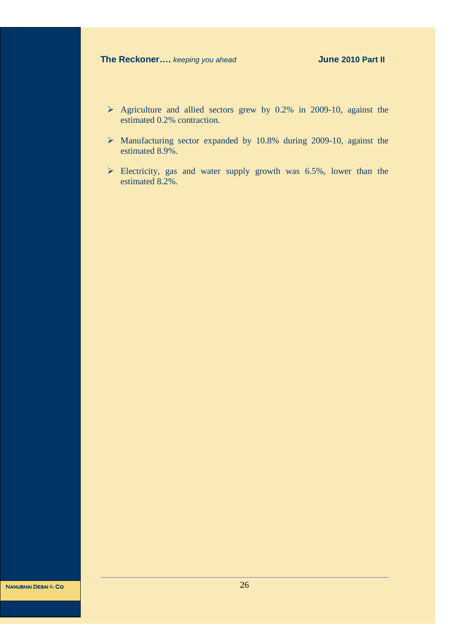- $\triangleright$  Agriculture and allied sectors grew by 0.2% in 2009-10, against the estimated 0.2% contraction.
- Manufacturing sector expanded by 10.8% during 2009-10, against the estimated 8.9%.
- $\triangleright$  Electricity, gas and water supply growth was 6.5%, lower than the estimated 8.2%.

Nanubhai Desai **&** Co Nanubhai Desai **&** Co

26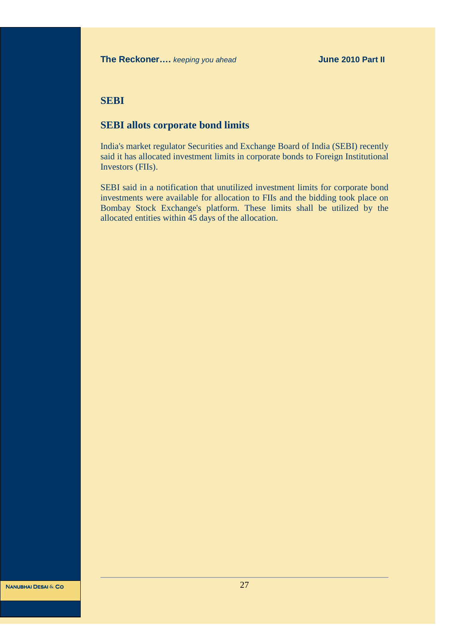# **SEBI**

# **SEBI allots corporate bond limits**

India's market regulator Securities and Exchange Board of India (SEBI) recently said it has allocated investment limits in corporate bonds to Foreign Institutional Investors (FIIs).

SEBI said in a notification that unutilized investment limits for corporate bond investments were available for allocation to FIIs and the bidding took place on Bombay Stock Exchange's platform. These limits shall be utilized by the allocated entities within 45 days of the allocation.